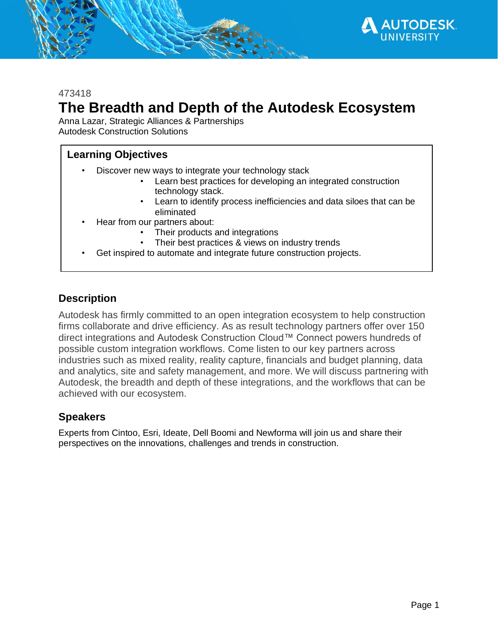

### 473418

# **The Breadth and Depth of the Autodesk Ecosystem**

Anna Lazar, Strategic Alliances & Partnerships Autodesk Construction Solutions

## **Learning Objectives**

- Discover new ways to integrate your technology stack
	- Learn best practices for developing an integrated construction technology stack.
	- Learn to identify process inefficiencies and data siloes that can be eliminated
- Hear from our partners about:
	- Their products and integrations
	- Their best practices & views on industry trends
- Get inspired to automate and integrate future construction projects.

## **Description**

Autodesk has firmly committed to an open integration ecosystem to help construction firms collaborate and drive efficiency. As as result technology partners offer over 150 direct integrations and Autodesk Construction Cloud™ Connect powers hundreds of possible custom integration workflows. Come listen to our key partners across industries such as mixed reality, reality capture, financials and budget planning, data and analytics, site and safety management, and more. We will discuss partnering with Autodesk, the breadth and depth of these integrations, and the workflows that can be achieved with our ecosystem.

## **Speakers**

Experts from Cintoo, Esri, Ideate, Dell Boomi and Newforma will join us and share their perspectives on the innovations, challenges and trends in construction.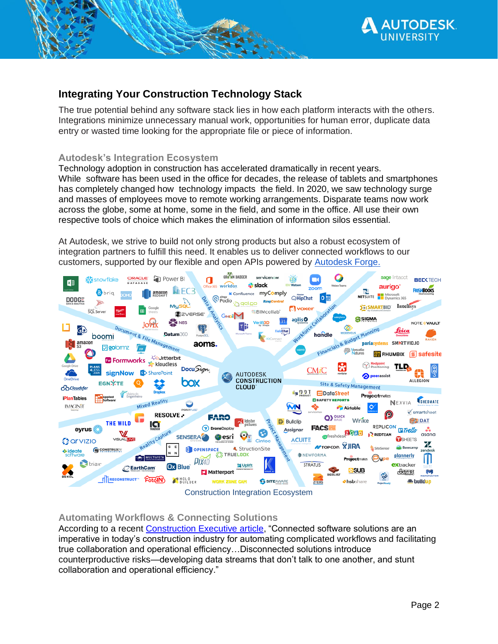

# **Integrating Your Construction Technology Stack**

The true potential behind any software stack lies in how each platform interacts with the others. Integrations minimize unnecessary manual work, opportunities for human error, duplicate data entry or wasted time looking for the appropriate file or piece of information.

## **Autodesk's Integration Ecosystem**

Technology adoption in construction has accelerated dramatically in recent years. While software has been used in the office for decades, the release of tablets and smartphones has completely changed how technology impacts the field. In 2020, we saw technology surge and masses of employees move to remote working arrangements. Disparate teams now work across the globe, some at home, some in the field, and some in the office. All use their own respective tools of choice which makes the elimination of information silos essential.

At Autodesk, we strive to build not only strong products but also a robust ecosystem of integration partners to fulfill this need. It enables us to deliver connected workflows to our customers, supported by our flexible and open APIs powered by [Autodesk Forge.](https://forge.autodesk.com/)



## **Automating Workflows & Connecting Solutions**

According to a recent [Construction Executive](https://www.constructionexec.com/article/integrated-software-is-an-imperative-in-the-construction-industry) article, "Connected software solutions are an imperative in today's construction industry for automating complicated workflows and facilitating true collaboration and operational efficiency…Disconnected solutions introduce counterproductive risks—developing data streams that don't talk to one another, and stunt collaboration and operational efficiency."